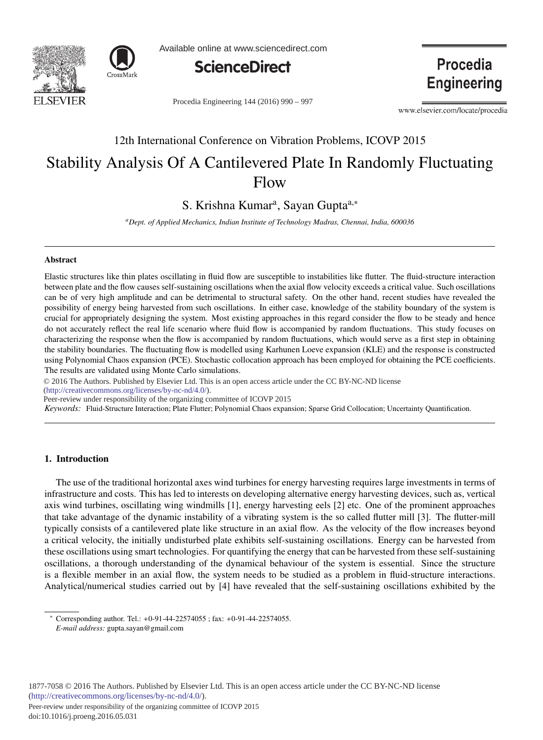



Available online at www.sciencedirect.com



Procedia Engineering 144 (2016) 990 - 997

Procedia **Engineering** 

www.elsevier.com/locate/procedia

# 12th International Conference on Vibration Problems, ICOVP 2015 Stability Analysis Of A Cantilevered Plate In Randomly Fluctuating Flow

S. Krishna Kumar<sup>a</sup>, Sayan Gupta<sup>a,\*</sup>

*aDept. of Applied Mechanics, Indian Institute of Technology Madras, Chennai, India, 600036*

#### Abstract

Elastic structures like thin plates oscillating in fluid flow are susceptible to instabilities like flutter. The fluid-structure interaction between plate and the flow causes self-sustaining oscillations when the axial flow velocity exceeds a critical value. Such oscillations can be of very high amplitude and can be detrimental to structural safety. On the other hand, recent studies have revealed the possibility of energy being harvested from such oscillations. In either case, knowledge of the stability boundary of the system is crucial for appropriately designing the system. Most existing approaches in this regard consider the flow to be steady and hence do not accurately reflect the real life scenario where fluid flow is accompanied by random fluctuations. This study focuses on characterizing the response when the flow is accompanied by random fluctuations, which would serve as a first step in obtaining the stability boundaries. The fluctuating flow is modelled using Karhunen Loeve expansion (KLE) and the response is constructed using Polynomial Chaos expansion (PCE). Stochastic collocation approach has been employed for obtaining the PCE coefficients. The results are validated using Monte Carlo simulations.

c 2016 The Authors. Published by Elsevier Ltd. © 2016 The Authors. Published by Elsevier Ltd. This is an open access article under the CC BY-NC-ND license (http://creativecommons.org/licenses/by-nc-nd/4.0/).

Peer-review under responsibility of the organizing committee of ICOVP 2015

*Keywords:* Fluid-Structure Interaction; Plate Flutter; Polynomial Chaos expansion; Sparse Grid Collocation; Uncertainty Quantification.

# 1. Introduction

The use of the traditional horizontal axes wind turbines for energy harvesting requires large investments in terms of infrastructure and costs. This has led to interests on developing alternative energy harvesting devices, such as, vertical axis wind turbines, oscillating wing windmills [1], energy harvesting eels [2] etc. One of the prominent approaches that take advantage of the dynamic instability of a vibrating system is the so called flutter mill [3]. The flutter-mill typically consists of a cantilevered plate like structure in an axial flow. As the velocity of the flow increases beyond a critical velocity, the initially undisturbed plate exhibits self-sustaining oscillations. Energy can be harvested from these oscillations using smart technologies. For quantifying the energy that can be harvested from these self-sustaining oscillations, a thorough understanding of the dynamical behaviour of the system is essential. Since the structure is a flexible member in an axial flow, the system needs to be studied as a problem in fluid-structure interactions. Analytical/numerical studies carried out by [4] have revealed that the self-sustaining oscillations exhibited by the

<sup>∗</sup> Corresponding author. Tel.: +0-91-44-22574055 ; fax: +0-91-44-22574055. *E-mail address:* gupta.sayan@gmail.com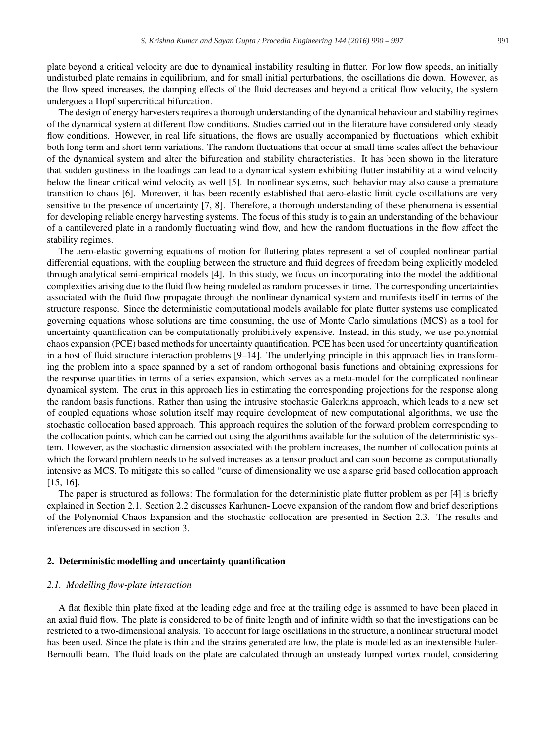plate beyond a critical velocity are due to dynamical instability resulting in flutter. For low flow speeds, an initially undisturbed plate remains in equilibrium, and for small initial perturbations, the oscillations die down. However, as the flow speed increases, the damping effects of the fluid decreases and beyond a critical flow velocity, the system undergoes a Hopf supercritical bifurcation.

The design of energy harvesters requires a thorough understanding of the dynamical behaviour and stability regimes of the dynamical system at different flow conditions. Studies carried out in the literature have considered only steady flow conditions. However, in real life situations, the flows are usually accompanied by fluctuations which exhibit both long term and short term variations. The random fluctuations that occur at small time scales affect the behaviour of the dynamical system and alter the bifurcation and stability characteristics. It has been shown in the literature that sudden gustiness in the loadings can lead to a dynamical system exhibiting flutter instability at a wind velocity below the linear critical wind velocity as well [5]. In nonlinear systems, such behavior may also cause a premature transition to chaos [6]. Moreover, it has been recently established that aero-elastic limit cycle oscillations are very sensitive to the presence of uncertainty [7, 8]. Therefore, a thorough understanding of these phenomena is essential for developing reliable energy harvesting systems. The focus of this study is to gain an understanding of the behaviour of a cantilevered plate in a randomly fluctuating wind flow, and how the random fluctuations in the flow affect the stability regimes.

The aero-elastic governing equations of motion for fluttering plates represent a set of coupled nonlinear partial differential equations, with the coupling between the structure and fluid degrees of freedom being explicitly modeled through analytical semi-empirical models [4]. In this study, we focus on incorporating into the model the additional complexities arising due to the fluid flow being modeled as random processes in time. The corresponding uncertainties associated with the fluid flow propagate through the nonlinear dynamical system and manifests itself in terms of the structure response. Since the deterministic computational models available for plate flutter systems use complicated governing equations whose solutions are time consuming, the use of Monte Carlo simulations (MCS) as a tool for uncertainty quantification can be computationally prohibitively expensive. Instead, in this study, we use polynomial chaos expansion (PCE) based methods for uncertainty quantification. PCE has been used for uncertainty quantification in a host of fluid structure interaction problems [9–14]. The underlying principle in this approach lies in transforming the problem into a space spanned by a set of random orthogonal basis functions and obtaining expressions for the response quantities in terms of a series expansion, which serves as a meta-model for the complicated nonlinear dynamical system. The crux in this approach lies in estimating the corresponding projections for the response along the random basis functions. Rather than using the intrusive stochastic Galerkins approach, which leads to a new set of coupled equations whose solution itself may require development of new computational algorithms, we use the stochastic collocation based approach. This approach requires the solution of the forward problem corresponding to the collocation points, which can be carried out using the algorithms available for the solution of the deterministic system. However, as the stochastic dimension associated with the problem increases, the number of collocation points at which the forward problem needs to be solved increases as a tensor product and can soon become as computationally intensive as MCS. To mitigate this so called "curse of dimensionality we use a sparse grid based collocation approach [15, 16].

The paper is structured as follows: The formulation for the deterministic plate flutter problem as per [4] is briefly explained in Section 2.1. Section 2.2 discusses Karhunen- Loeve expansion of the random flow and brief descriptions of the Polynomial Chaos Expansion and the stochastic collocation are presented in Section 2.3. The results and inferences are discussed in section 3.

#### 2. Deterministic modelling and uncertainty quantification

# *2.1. Modelling flow-plate interaction*

A flat flexible thin plate fixed at the leading edge and free at the trailing edge is assumed to have been placed in an axial fluid flow. The plate is considered to be of finite length and of infinite width so that the investigations can be restricted to a two-dimensional analysis. To account for large oscillations in the structure, a nonlinear structural model has been used. Since the plate is thin and the strains generated are low, the plate is modelled as an inextensible Euler-Bernoulli beam. The fluid loads on the plate are calculated through an unsteady lumped vortex model, considering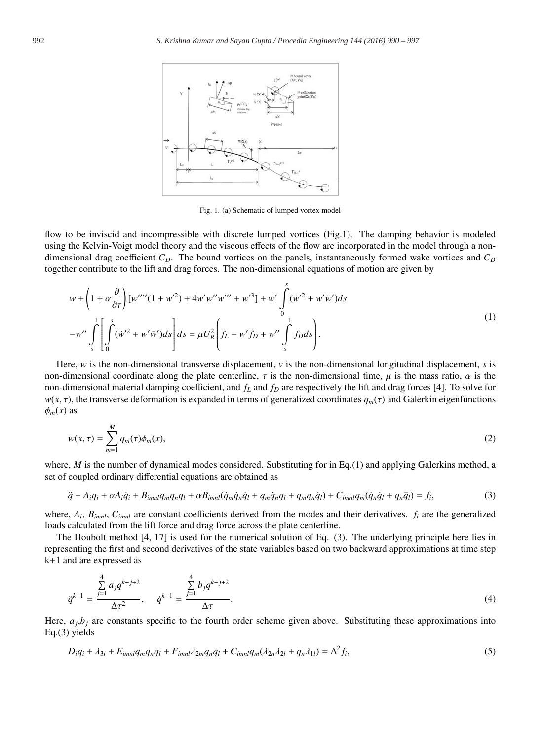

Fig. 1. (a) Schematic of lumped vortex model

flow to be inviscid and incompressible with discrete lumped vortices (Fig.1). The damping behavior is modeled using the Kelvin-Voigt model theory and the viscous effects of the flow are incorporated in the model through a nondimensional drag coefficient  $C_D$ . The bound vortices on the panels, instantaneously formed wake vortices and  $C_D$ together contribute to the lift and drag forces. The non-dimensional equations of motion are given by

$$
\ddot{w} + \left(1 + \alpha \frac{\partial}{\partial \tau}\right)[w''''(1 + w'^2) + 4w'w''w''' + w'^3] + w' \int_0^s (\dot{w}'^2 + w'\ddot{w}')ds
$$
  

$$
-w'' \int_s^1 \left[ \int_0^s (\dot{w}'^2 + w'\ddot{w}')ds \right] ds = \mu U_R^2 \left(f_L - w' f_D + w'' \int_s^1 f_D ds\right).
$$
 (1)

Here, *w* is the non-dimensional transverse displacement, *v* is the non-dimensional longitudinal displacement, *s* is non-dimensional coordinate along the plate centerline,  $\tau$  is the non-dimensional time,  $\mu$  is the mass ratio,  $\alpha$  is the non-dimensional material damping coefficient, and  $f_L$  and  $f_D$  are respectively the lift and drag forces [4]. To solve for  $w(x, \tau)$ , the transverse deformation is expanded in terms of generalized coordinates  $q_m(\tau)$  and Galerkin eigenfunctions  $\phi_m(x)$  as

$$
w(x,\tau) = \sum_{m=1}^{M} q_m(\tau)\phi_m(x),\tag{2}
$$

where,  $M$  is the number of dynamical modes considered. Substituting for in Eq.(1) and applying Galerkins method, a set of coupled ordinary differential equations are obtained as

$$
\ddot{q} + A_i q_i + \alpha A_i \dot{q}_i + B_{imnl} q_m q_n q_l + \alpha B_{imnl} (\dot{q}_m \dot{q}_n \dot{q}_l + q_m \dot{q}_n q_l + q_m q_n \dot{q}_l) + C_{imnl} q_m (\dot{q}_n \dot{q}_l + q_n \ddot{q}_l) = f_i,
$$
\n(3)

where,  $A_i$ ,  $B_{imnl}$ ,  $C_{imnl}$  are constant coefficients derived from the modes and their derivatives.  $f_i$  are the generalized loads calculated from the lift force and drag force across the plate centerline.

The Houbolt method [4, 17] is used for the numerical solution of Eq. (3). The underlying principle here lies in representing the first and second derivatives of the state variables based on two backward approximations at time step k+1 and are expressed as

$$
\ddot{q}^{k+1} = \frac{\sum\limits_{j=1}^{4} a_j q^{k-j+2}}{\Delta \tau^2}, \quad \dot{q}^{k+1} = \frac{\sum\limits_{j=1}^{4} b_j q^{k-j+2}}{\Delta \tau}.
$$
\n(4)

Here,  $a_j$ , *b<sub>j</sub>* are constants specific to the fourth order scheme given above. Substituting these approximations into Eq.(3) yields

$$
D_i q_i + \lambda_{3i} + E_{imnl} q_m q_n q_l + F_{imnl} \lambda_{2m} q_n q_l + C_{imnl} q_m (\lambda_{2n} \lambda_{2l} + q_n \lambda_{1l}) = \Delta^2 f_i,
$$
\n(5)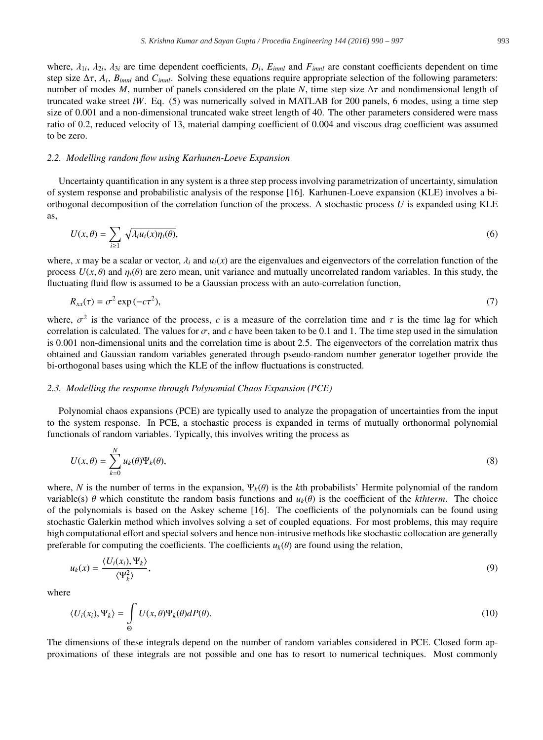where,  $\lambda_{1i}$ ,  $\lambda_{2i}$ ,  $\lambda_{3i}$  are time dependent coefficients,  $D_i$ ,  $E_{imnl}$  and  $F_{imnl}$  are constant coefficients dependent on time step size Δτ, *Ai*, *Bimnl* and *Cimnl*. Solving these equations require appropriate selection of the following parameters: number of modes *M*, number of panels considered on the plate *N*, time step size  $\Delta\tau$  and nondimensional length of truncated wake street *lW*. Eq. (5) was numerically solved in MATLAB for 200 panels, 6 modes, using a time step size of 0.001 and a non-dimensional truncated wake street length of 40. The other parameters considered were mass ratio of 0.2, reduced velocity of 13, material damping coefficient of 0.004 and viscous drag coefficient was assumed to be zero.

## *2.2. Modelling random flow using Karhunen-Loeve Expansion*

Uncertainty quantification in any system is a three step process involving parametrization of uncertainty, simulation of system response and probabilistic analysis of the response [16]. Karhunen-Loeve expansion (KLE) involves a biorthogonal decomposition of the correlation function of the process. A stochastic process *U* is expanded using KLE as,

$$
U(x,\theta) = \sum_{i\geq 1} \sqrt{\lambda_i u_i(x)\eta_i(\theta)},
$$
\n(6)

where, *x* may be a scalar or vector,  $\lambda_i$  and  $u_i(x)$  are the eigenvalues and eigenvectors of the correlation function of the process  $U(x, \theta)$  and  $\eta_i(\theta)$  are zero mean, unit variance and mutually uncorrelated random variables. In this study, the fluctuating fluid flow is assumed to be a Gaussian process with an auto-correlation function,

$$
R_{xx}(\tau) = \sigma^2 \exp(-c\tau^2),\tag{7}
$$

where,  $\sigma^2$  is the variance of the process, *c* is a measure of the correlation time and  $\tau$  is the time lag for which correlation is calculated. The values for  $\sigma$ , and c have been taken to be 0.1 and 1. The time step used in the simulation is 0.001 non-dimensional units and the correlation time is about 2.5. The eigenvectors of the correlation matrix thus obtained and Gaussian random variables generated through pseudo-random number generator together provide the bi-orthogonal bases using which the KLE of the inflow fluctuations is constructed.

#### *2.3. Modelling the response through Polynomial Chaos Expansion (PCE)*

Polynomial chaos expansions (PCE) are typically used to analyze the propagation of uncertainties from the input to the system response. In PCE, a stochastic process is expanded in terms of mutually orthonormal polynomial functionals of random variables. Typically, this involves writing the process as

$$
U(x,\theta) = \sum_{k=0}^{N} u_k(\theta) \Psi_k(\theta),
$$
\n(8)

where, *N* is the number of terms in the expansion,  $\Psi_k(\theta)$  is the *k*th probabilists' Hermite polynomial of the random variable(s)  $\theta$  which constitute the random basis functions and  $u_k(\theta)$  is the coefficient of the *kthterm*. The choice of the polynomials is based on the Askey scheme [16]. The coefficients of the polynomials can be found using stochastic Galerkin method which involves solving a set of coupled equations. For most problems, this may require high computational effort and special solvers and hence non-intrusive methods like stochastic collocation are generally preferable for computing the coefficients. The coefficients  $u_k(\theta)$  are found using the relation,

$$
u_k(x) = \frac{\langle U_i(x_i), \Psi_k \rangle}{\langle \Psi_k^2 \rangle},\tag{9}
$$

where

$$
\langle U_i(x_i), \Psi_k \rangle = \int_{\Theta} U(x, \theta) \Psi_k(\theta) dP(\theta).
$$
\n(10)

The dimensions of these integrals depend on the number of random variables considered in PCE. Closed form approximations of these integrals are not possible and one has to resort to numerical techniques. Most commonly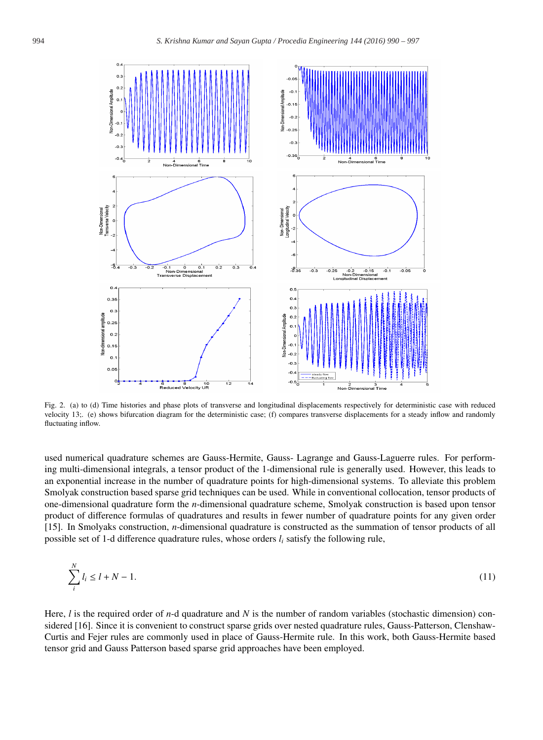

Fig. 2. (a) to (d) Time histories and phase plots of transverse and longitudinal displacements respectively for deterministic case with reduced velocity 13;. (e) shows bifurcation diagram for the deterministic case; (f) compares transverse displacements for a steady inflow and randomly fluctuating inflow.

used numerical quadrature schemes are Gauss-Hermite, Gauss- Lagrange and Gauss-Laguerre rules. For performing multi-dimensional integrals, a tensor product of the 1-dimensional rule is generally used. However, this leads to an exponential increase in the number of quadrature points for high-dimensional systems. To alleviate this problem Smolyak construction based sparse grid techniques can be used. While in conventional collocation, tensor products of one-dimensional quadrature form the *n*-dimensional quadrature scheme, Smolyak construction is based upon tensor product of difference formulas of quadratures and results in fewer number of quadrature points for any given order [15]. In Smolyaks construction, *n*-dimensional quadrature is constructed as the summation of tensor products of all possible set of 1-d difference quadrature rules, whose orders *li* satisfy the following rule,

$$
\sum_{i}^{N} l_i \le l + N - 1. \tag{11}
$$

Here, *l* is the required order of *n*-d quadrature and *N* is the number of random variables (stochastic dimension) considered [16]. Since it is convenient to construct sparse grids over nested quadrature rules, Gauss-Patterson, Clenshaw-Curtis and Fejer rules are commonly used in place of Gauss-Hermite rule. In this work, both Gauss-Hermite based tensor grid and Gauss Patterson based sparse grid approaches have been employed.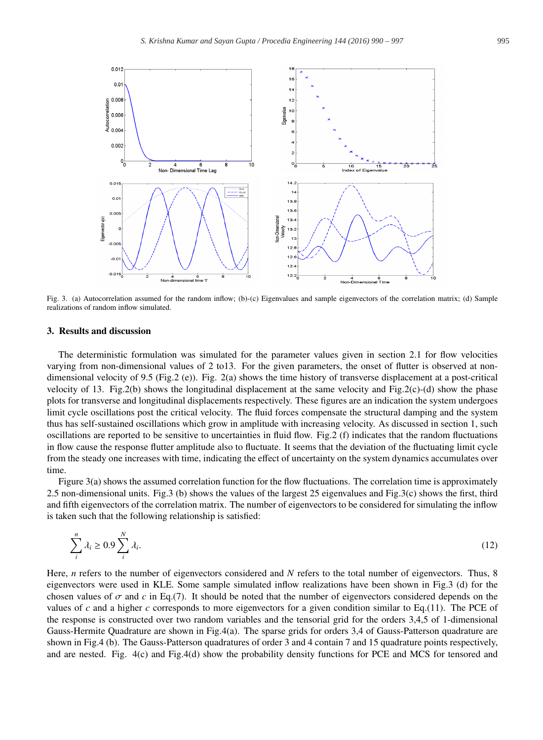

Fig. 3. (a) Autocorrelation assumed for the random inflow; (b)-(c) Eigenvalues and sample eigenvectors of the correlation matrix; (d) Sample realizations of random inflow simulated.

### 3. Results and discussion

The deterministic formulation was simulated for the parameter values given in section 2.1 for flow velocities varying from non-dimensional values of 2 to13. For the given parameters, the onset of flutter is observed at nondimensional velocity of 9.5 (Fig.2 (e)). Fig. 2(a) shows the time history of transverse displacement at a post-critical velocity of 13. Fig.2(b) shows the longitudinal displacement at the same velocity and Fig.2(c)-(d) show the phase plots for transverse and longitudinal displacements respectively. These figures are an indication the system undergoes limit cycle oscillations post the critical velocity. The fluid forces compensate the structural damping and the system thus has self-sustained oscillations which grow in amplitude with increasing velocity. As discussed in section 1, such oscillations are reported to be sensitive to uncertainties in fluid flow. Fig.2 (f) indicates that the random fluctuations in flow cause the response flutter amplitude also to fluctuate. It seems that the deviation of the fluctuating limit cycle from the steady one increases with time, indicating the effect of uncertainty on the system dynamics accumulates over time.

Figure 3(a) shows the assumed correlation function for the flow fluctuations. The correlation time is approximately 2.5 non-dimensional units. Fig.3 (b) shows the values of the largest 25 eigenvalues and Fig.3(c) shows the first, third and fifth eigenvectors of the correlation matrix. The number of eigenvectors to be considered for simulating the inflow is taken such that the following relationship is satisfied:

$$
\sum_{i}^{n} \lambda_i \ge 0.9 \sum_{i}^{N} \lambda_i. \tag{12}
$$

Here, *n* refers to the number of eigenvectors considered and *N* refers to the total number of eigenvectors. Thus, 8 eigenvectors were used in KLE. Some sample simulated inflow realizations have been shown in Fig.3 (d) for the chosen values of  $\sigma$  and c in Eq.(7). It should be noted that the number of eigenvectors considered depends on the values of  $c$  and a higher  $c$  corresponds to more eigenvectors for a given condition similar to Eq.(11). The PCE of the response is constructed over two random variables and the tensorial grid for the orders 3,4,5 of 1-dimensional Gauss-Hermite Quadrature are shown in Fig.4(a). The sparse grids for orders 3,4 of Gauss-Patterson quadrature are shown in Fig.4 (b). The Gauss-Patterson quadratures of order 3 and 4 contain 7 and 15 quadrature points respectively, and are nested. Fig. 4(c) and Fig.4(d) show the probability density functions for PCE and MCS for tensored and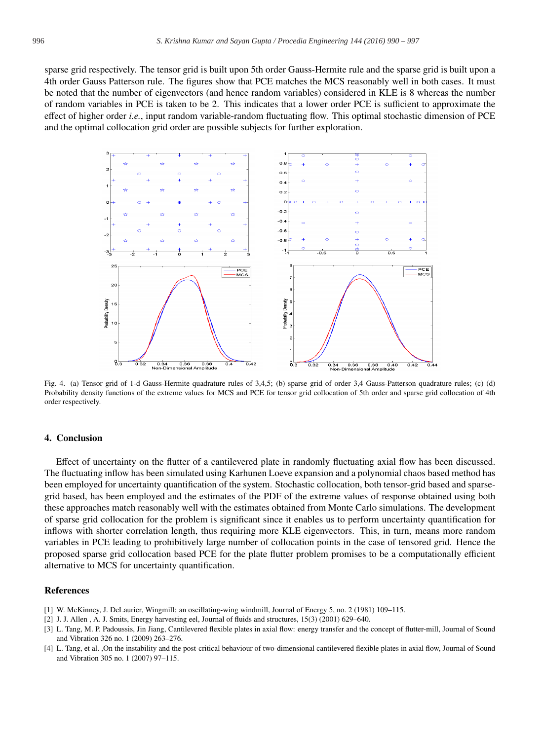sparse grid respectively. The tensor grid is built upon 5th order Gauss-Hermite rule and the sparse grid is built upon a 4th order Gauss Patterson rule. The figures show that PCE matches the MCS reasonably well in both cases. It must be noted that the number of eigenvectors (and hence random variables) considered in KLE is 8 whereas the number of random variables in PCE is taken to be 2. This indicates that a lower order PCE is sufficient to approximate the effect of higher order *i.e.*, input random variable-random fluctuating flow. This optimal stochastic dimension of PCE and the optimal collocation grid order are possible subjects for further exploration.



Fig. 4. (a) Tensor grid of 1-d Gauss-Hermite quadrature rules of 3,4,5; (b) sparse grid of order 3,4 Gauss-Patterson quadrature rules; (c) (d) Probability density functions of the extreme values for MCS and PCE for tensor grid collocation of 5th order and sparse grid collocation of 4th order respectively.

## 4. Conclusion

Effect of uncertainty on the flutter of a cantilevered plate in randomly fluctuating axial flow has been discussed. The fluctuating inflow has been simulated using Karhunen Loeve expansion and a polynomial chaos based method has been employed for uncertainty quantification of the system. Stochastic collocation, both tensor-grid based and sparsegrid based, has been employed and the estimates of the PDF of the extreme values of response obtained using both these approaches match reasonably well with the estimates obtained from Monte Carlo simulations. The development of sparse grid collocation for the problem is significant since it enables us to perform uncertainty quantification for inflows with shorter correlation length, thus requiring more KLE eigenvectors. This, in turn, means more random variables in PCE leading to prohibitively large number of collocation points in the case of tensored grid. Hence the proposed sparse grid collocation based PCE for the plate flutter problem promises to be a computationally efficient alternative to MCS for uncertainty quantification.

#### References

- [1] W. McKinney, J. DeLaurier, Wingmill: an oscillating-wing windmill, Journal of Energy 5, no. 2 (1981) 109–115.
- [2] J. J. Allen , A. J. Smits, Energy harvesting eel, Journal of fluids and structures, 15(3) (2001) 629–640.
- [3] L. Tang, M. P. Padoussis, Jin Jiang, Cantilevered flexible plates in axial flow: energy transfer and the concept of flutter-mill, Journal of Sound and Vibration 326 no. 1 (2009) 263–276.
- [4] L. Tang, et al. ,On the instability and the post-critical behaviour of two-dimensional cantilevered flexible plates in axial flow, Journal of Sound and Vibration 305 no. 1 (2007) 97–115.